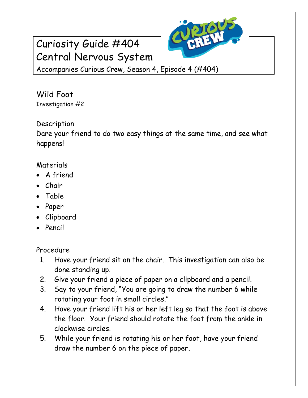## Curiosity Guide #404 Central Nervous System



Accompanies Curious Crew, Season 4, Episode 4 (#404)

Wild Foot Investigation #2

## Description

Dare your friend to do two easy things at the same time, and see what happens!

## Materials

- A friend
- Chair
- Table
- Paper
- Clipboard
- Pencil

Procedure

- 1. Have your friend sit on the chair. This investigation can also be done standing up.
- 2. Give your friend a piece of paper on a clipboard and a pencil.
- 3. Say to your friend, "You are going to draw the number 6 while rotating your foot in small circles."
- 4. Have your friend lift his or her left leg so that the foot is above the floor. Your friend should rotate the foot from the ankle in clockwise circles.
- 5. While your friend is rotating his or her foot, have your friend draw the number 6 on the piece of paper.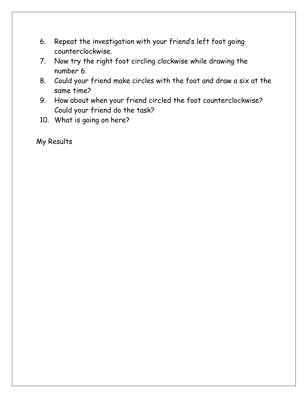- 6. Repeat the investigation with your friend's left foot going counterclockwise.
- 7. Now try the right foot circling clockwise while drawing the number 6.
- 8. Could your friend make circles with the foot and draw a six at the same time?
- 9. How about when your friend circled the foot counterclockwise? Could your friend do the task?
- 10. What is going on here?

My Results